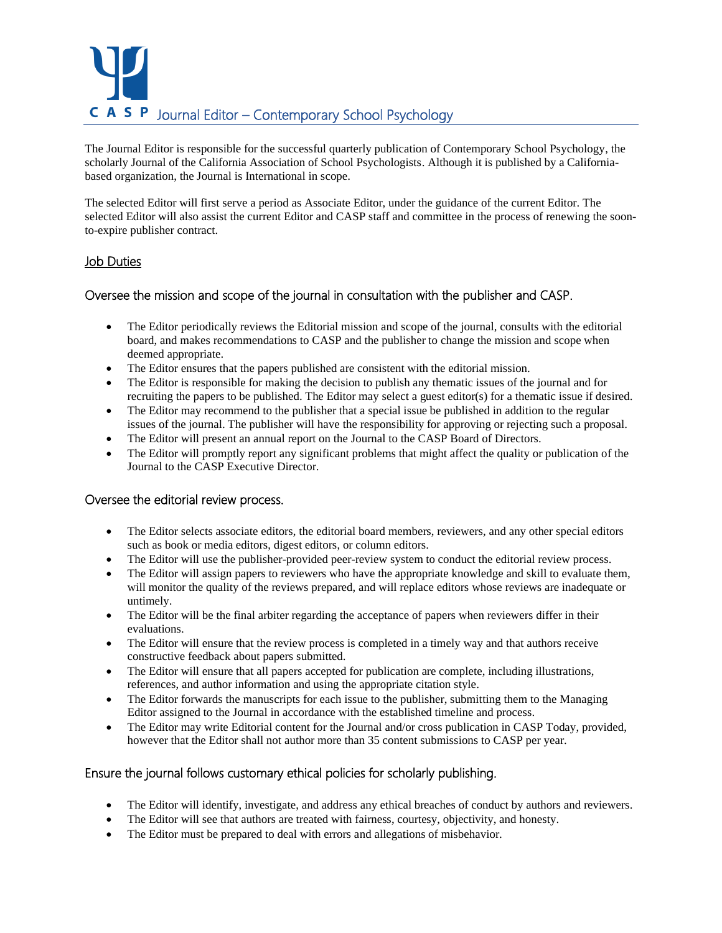# **C A S P** Journal Editor – Contemporary School Psychology

The Journal Editor is responsible for the successful quarterly publication of Contemporary School Psychology, the scholarly Journal of the California Association of School Psychologists. Although it is published by a Californiabased organization, the Journal is International in scope.

The selected Editor will first serve a period as Associate Editor, under the guidance of the current Editor. The selected Editor will also assist the current Editor and CASP staff and committee in the process of renewing the soonto-expire publisher contract.

# Job Duties

# Oversee the mission and scope of the journal in consultation with the publisher and CASP.

- The Editor periodically reviews the Editorial mission and scope of the journal, consults with the editorial board, and makes recommendations to CASP and the publisher to change the mission and scope when deemed appropriate.
- The Editor ensures that the papers published are consistent with the editorial mission.
- The Editor is responsible for making the decision to publish any thematic issues of the journal and for recruiting the papers to be published. The Editor may select a guest editor(s) for a thematic issue if desired.
- The Editor may recommend to the publisher that a special issue be published in addition to the regular issues of the journal. The publisher will have the responsibility for approving or rejecting such a proposal.
- The Editor will present an annual report on the Journal to the CASP Board of Directors.
- The Editor will promptly report any significant problems that might affect the quality or publication of the Journal to the CASP Executive Director.

### Oversee the editorial review process.

- The Editor selects associate editors, the editorial board members, reviewers, and any other special editors such as book or media editors, digest editors, or column editors.
- The Editor will use the publisher-provided peer-review system to conduct the editorial review process.
- The Editor will assign papers to reviewers who have the appropriate knowledge and skill to evaluate them, will monitor the quality of the reviews prepared, and will replace editors whose reviews are inadequate or untimely.
- The Editor will be the final arbiter regarding the acceptance of papers when reviewers differ in their evaluations.
- The Editor will ensure that the review process is completed in a timely way and that authors receive constructive feedback about papers submitted.
- The Editor will ensure that all papers accepted for publication are complete, including illustrations, references, and author information and using the appropriate citation style.
- The Editor forwards the manuscripts for each issue to the publisher, submitting them to the Managing Editor assigned to the Journal in accordance with the established timeline and process.
- The Editor may write Editorial content for the Journal and/or cross publication in CASP Today, provided, however that the Editor shall not author more than 35 content submissions to CASP per year.

# Ensure the journal follows customary ethical policies for scholarly publishing.

- The Editor will identify, investigate, and address any ethical breaches of conduct by authors and reviewers.
- The Editor will see that authors are treated with fairness, courtesy, objectivity, and honesty.
- The Editor must be prepared to deal with errors and allegations of misbehavior.